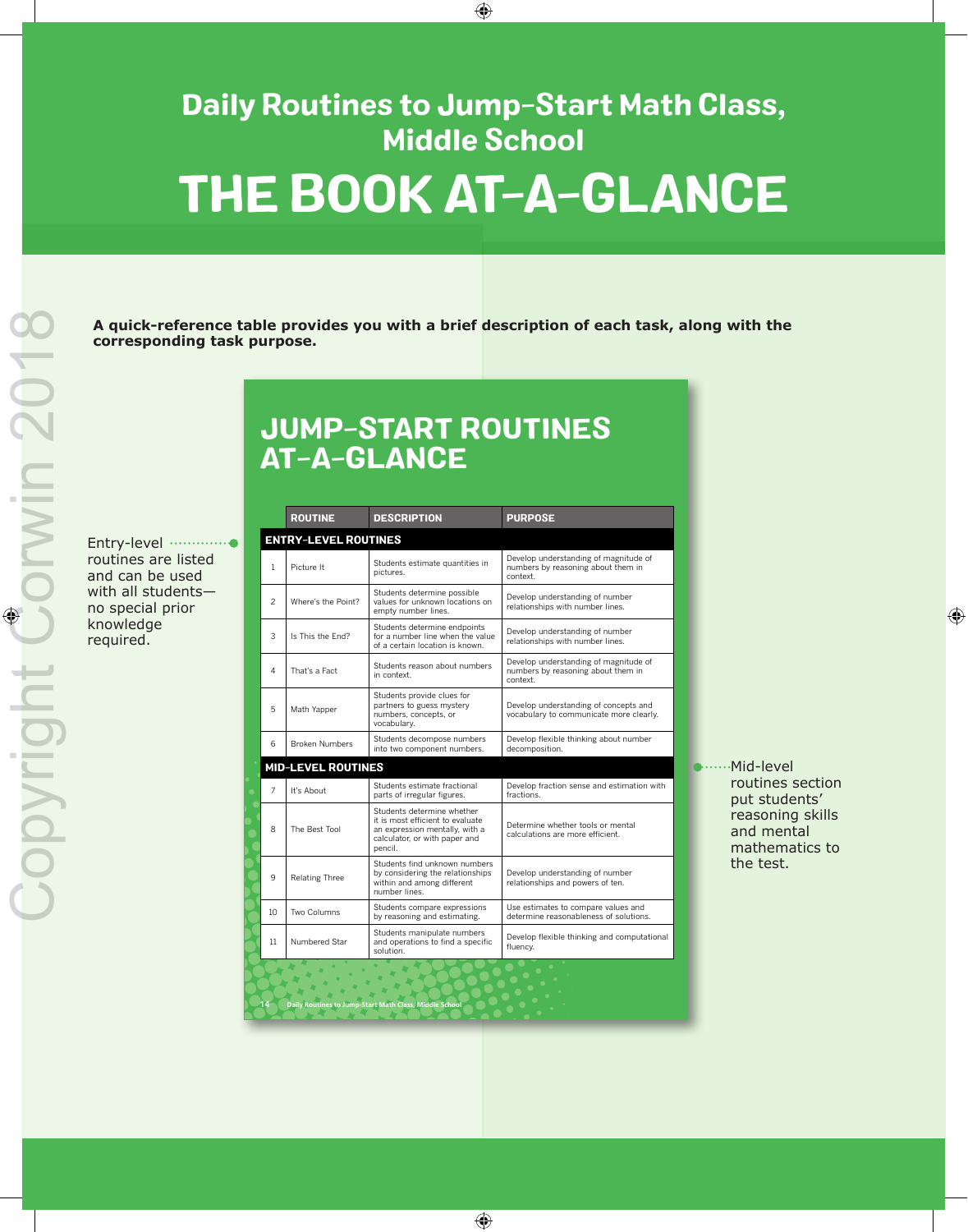## Daily Routines to Jump-Start Math Class, Middle School THE BOOK AT-A-GLANCE

 $\bigoplus$ 

**A quick-reference table provides you with a brief description of each task, along with the corresponding task purpose.**

## JUMP-START ROUTINES AT-A-GLANCE

Entry-level routines are listed and can be used with all students no special prior knowledge required.

|                 | <b>ROUTINE</b>              | <b>DESCRIPTION</b>                                                                                                                           | <b>PURPOSE</b>                                                                          |
|-----------------|-----------------------------|----------------------------------------------------------------------------------------------------------------------------------------------|-----------------------------------------------------------------------------------------|
|                 | <b>ENTRY-LEVEL ROUTINES</b> |                                                                                                                                              |                                                                                         |
| 1               | Picture It                  | Students estimate quantities in<br>pictures.                                                                                                 | Develop understanding of magnitude of<br>numbers by reasoning about them in<br>context. |
| $\mathfrak{p}$  | Where's the Point?          | Students determine possible<br>values for unknown locations on<br>empty number lines.                                                        | Develop understanding of number<br>relationships with number lines.                     |
| 3               | Is This the End?            | Students determine endpoints<br>for a number line when the value<br>of a certain location is known.                                          | Develop understanding of number<br>relationships with number lines.                     |
| 4               | That's a Fact               | Students reason about numbers<br>in context.                                                                                                 | Develop understanding of magnitude of<br>numbers by reasoning about them in<br>context. |
| 5               | Math Yapper                 | Students provide clues for<br>partners to guess mystery<br>numbers, concepts, or<br>vocabulary.                                              | Develop understanding of concepts and<br>vocabulary to communicate more clearly.        |
| 6               | <b>Broken Numbers</b>       | Students decompose numbers<br>into two component numbers.                                                                                    | Develop flexible thinking about number<br>decomposition.                                |
|                 | <b>MID-LEVEL ROUTINES</b>   |                                                                                                                                              |                                                                                         |
| $\overline{7}$  | It's About                  | Students estimate fractional<br>parts of irregular figures.                                                                                  | Develop fraction sense and estimation with<br>fractions.                                |
| 8               | The Best Tool               | Students determine whether<br>it is most efficient to evaluate<br>an expression mentally, with a<br>calculator, or with paper and<br>pencil. | Determine whether tools or mental<br>calculations are more efficient.                   |
| 9               | <b>Relating Three</b>       | Students find unknown numbers<br>by considering the relationships<br>within and among different<br>number lines.                             | Develop understanding of number<br>relationships and powers of ten.                     |
| 10 <sup>1</sup> | Two Columns                 | Students compare expressions<br>by reasoning and estimating.                                                                                 | Use estimates to compare values and<br>determine reasonableness of solutions.           |
| 11              | Numbered Star               | Students manipulate numbers<br>and operations to find a specific<br>solution.                                                                | Develop flexible thinking and computational<br>fluency.                                 |
| 14              |                             | Daily Routines to Jump-Start Math Class, Middle School                                                                                       | $\mathbf{C}$                                                                            |

•······Mid-level routines section put students' reasoning skills and mental mathematics to the test.

⊕